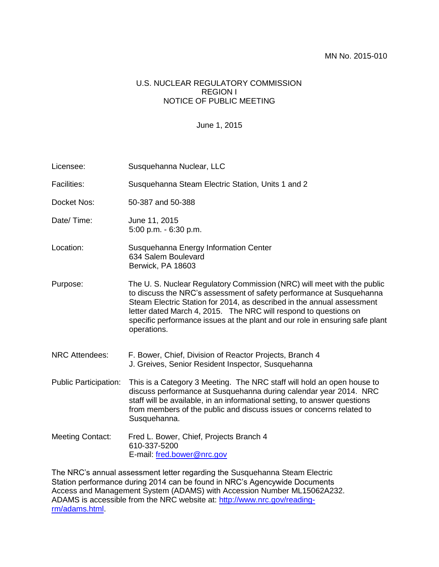## U.S. NUCLEAR REGULATORY COMMISSION REGION I NOTICE OF PUBLIC MEETING

## June 1, 2015

| Licensee:                    | Susquehanna Nuclear, LLC                                                                                                                                                                                                                                                                                                                                                                     |
|------------------------------|----------------------------------------------------------------------------------------------------------------------------------------------------------------------------------------------------------------------------------------------------------------------------------------------------------------------------------------------------------------------------------------------|
| <b>Facilities:</b>           | Susquehanna Steam Electric Station, Units 1 and 2                                                                                                                                                                                                                                                                                                                                            |
| Docket Nos:                  | 50-387 and 50-388                                                                                                                                                                                                                                                                                                                                                                            |
| Date/Time:                   | June 11, 2015<br>5:00 p.m. - 6:30 p.m.                                                                                                                                                                                                                                                                                                                                                       |
| Location:                    | Susquehanna Energy Information Center<br>634 Salem Boulevard<br>Berwick, PA 18603                                                                                                                                                                                                                                                                                                            |
| Purpose:                     | The U. S. Nuclear Regulatory Commission (NRC) will meet with the public<br>to discuss the NRC's assessment of safety performance at Susquehanna<br>Steam Electric Station for 2014, as described in the annual assessment<br>letter dated March 4, 2015. The NRC will respond to questions on<br>specific performance issues at the plant and our role in ensuring safe plant<br>operations. |
| <b>NRC Attendees:</b>        | F. Bower, Chief, Division of Reactor Projects, Branch 4<br>J. Greives, Senior Resident Inspector, Susquehanna                                                                                                                                                                                                                                                                                |
| <b>Public Participation:</b> | This is a Category 3 Meeting. The NRC staff will hold an open house to<br>discuss performance at Susquehanna during calendar year 2014. NRC<br>staff will be available, in an informational setting, to answer questions<br>from members of the public and discuss issues or concerns related to<br>Susquehanna.                                                                             |
| <b>Meeting Contact:</b>      | Fred L. Bower, Chief, Projects Branch 4<br>610-337-5200<br>E-mail: fred.bower@nrc.gov                                                                                                                                                                                                                                                                                                        |
|                              | The NPC's annual assessment letter regarding the Susquebanna Steam Electric                                                                                                                                                                                                                                                                                                                  |

The NRC's annual assessment letter regarding the Susquehanna Steam Electric Station performance during 2014 can be found in NRC's Agencywide Documents Access and Management System (ADAMS) with Accession Number ML15062A232. ADAMS is accessible from the NRC website at: [http://www.nrc.gov/reading](http://www.nrc.gov/reading-rm/adams.html)[rm/adams.html.](http://www.nrc.gov/reading-rm/adams.html)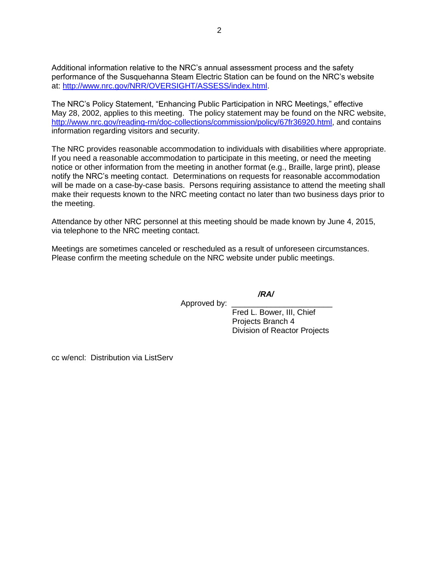Additional information relative to the NRC's annual assessment process and the safety performance of the Susquehanna Steam Electric Station can be found on the NRC's website at: [http://www.nrc.gov/NRR/OVERSIGHT/ASSESS/index.html.](http://www.nrc.gov/NRR/OVERSIGHT/ASSESS/index.html)

The NRC's Policy Statement, "Enhancing Public Participation in NRC Meetings," effective May 28, 2002, applies to this meeting. The policy statement may be found on the NRC website, [http://www.nrc.gov/reading-rm/doc-collections/commission/policy/67fr36920.html,](http://www.nrc.gov/reading-rm/doc-collections/commission/policy/67fr36920.html) and contains information regarding visitors and security.

The NRC provides reasonable accommodation to individuals with disabilities where appropriate. If you need a reasonable accommodation to participate in this meeting, or need the meeting notice or other information from the meeting in another format (e.g., Braille, large print), please notify the NRC's meeting contact. Determinations on requests for reasonable accommodation will be made on a case-by-case basis. Persons requiring assistance to attend the meeting shall make their requests known to the NRC meeting contact no later than two business days prior to the meeting.

Attendance by other NRC personnel at this meeting should be made known by June 4, 2015, via telephone to the NRC meeting contact.

Meetings are sometimes canceled or rescheduled as a result of unforeseen circumstances. Please confirm the meeting schedule on the NRC website under public meetings.

*/RA/*

Approved by:

Fred L. Bower, III, Chief Projects Branch 4 Division of Reactor Projects

cc w/encl: Distribution via ListServ